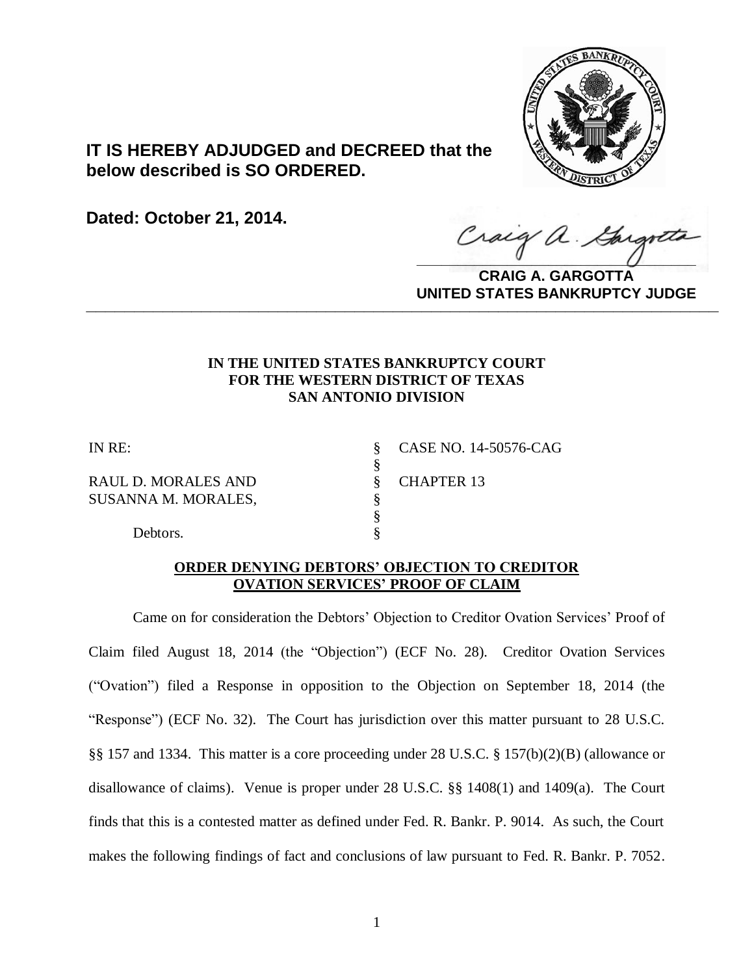

# **IT IS HEREBY ADJUDGED and DECREED that the below described is SO ORDERED.**

**Dated: October 21, 2014.**

Craig a Gargotta

**CRAIG A. GARGOTTA UNITED STATES BANKRUPTCY JUDGE PRITED DIATED BARRACT TOT 00DCE** 

### **IN THE UNITED STATES BANKRUPTCY COURT FOR THE WESTERN DISTRICT OF TEXAS SAN ANTONIO DIVISION**

§<br>§

§

RAUL D. MORALES AND  $\S$  CHAPTER 13 SUSANNA M. MORALES,  $\S$ 

IN RE: § CASE NO. 14-50576-CAG

Debtors.  $\S$ 

### **ORDER DENYING DEBTORS' OBJECTION TO CREDITOR OVATION SERVICES' PROOF OF CLAIM**

Came on for consideration the Debtors' Objection to Creditor Ovation Services' Proof of Claim filed August 18, 2014 (the "Objection") (ECF No. 28). Creditor Ovation Services ("Ovation") filed a Response in opposition to the Objection on September 18, 2014 (the "Response") (ECF No. 32). The Court has jurisdiction over this matter pursuant to 28 U.S.C. §§ 157 and 1334. This matter is a core proceeding under 28 U.S.C. § 157(b)(2)(B) (allowance or disallowance of claims). Venue is proper under 28 U.S.C. §§ 1408(1) and 1409(a). The Court finds that this is a contested matter as defined under Fed. R. Bankr. P. 9014. As such, the Court makes the following findings of fact and conclusions of law pursuant to Fed. R. Bankr. P. 7052.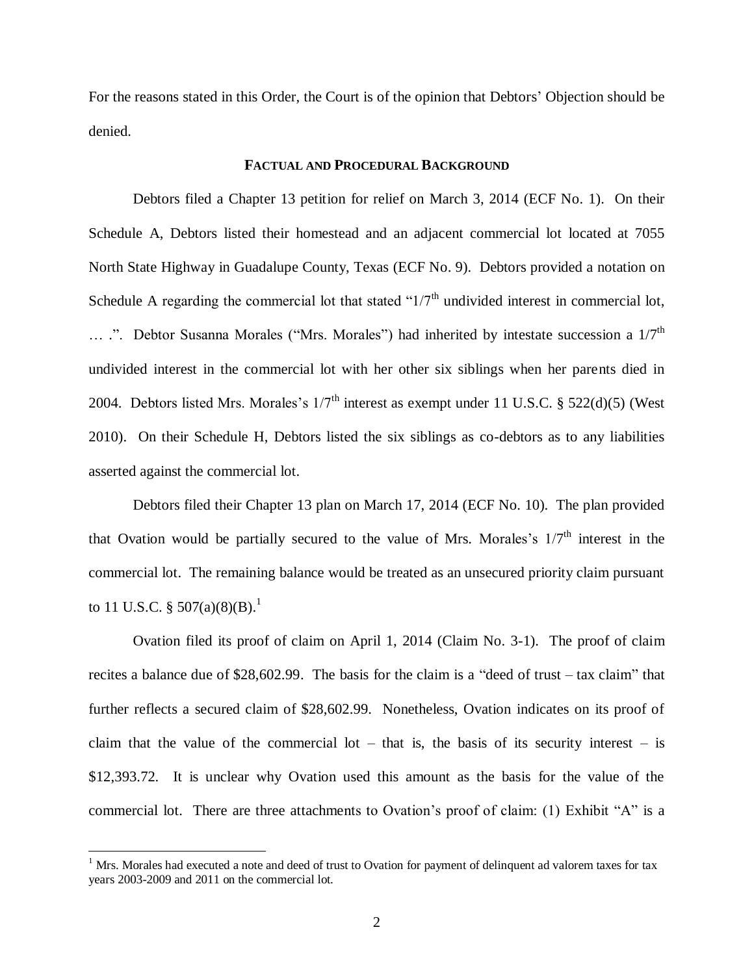For the reasons stated in this Order, the Court is of the opinion that Debtors' Objection should be denied.

#### **FACTUAL AND PROCEDURAL BACKGROUND**

Debtors filed a Chapter 13 petition for relief on March 3, 2014 (ECF No. 1). On their Schedule A, Debtors listed their homestead and an adjacent commercial lot located at 7055 North State Highway in Guadalupe County, Texas (ECF No. 9). Debtors provided a notation on Schedule A regarding the commercial lot that stated " $1/7<sup>th</sup>$  undivided interest in commercial lot, ... .". Debtor Susanna Morales ("Mrs. Morales") had inherited by intestate succession a  $1/7<sup>th</sup>$ undivided interest in the commercial lot with her other six siblings when her parents died in 2004. Debtors listed Mrs. Morales's  $1/7<sup>th</sup>$  interest as exempt under 11 U.S.C. § 522(d)(5) (West 2010). On their Schedule H, Debtors listed the six siblings as co-debtors as to any liabilities asserted against the commercial lot.

Debtors filed their Chapter 13 plan on March 17, 2014 (ECF No. 10). The plan provided that Ovation would be partially secured to the value of Mrs. Morales's  $1/7<sup>th</sup>$  interest in the commercial lot. The remaining balance would be treated as an unsecured priority claim pursuant to 11 U.S.C. §  $507(a)(8)(B)$ .<sup>1</sup>

Ovation filed its proof of claim on April 1, 2014 (Claim No. 3-1). The proof of claim recites a balance due of \$28,602.99. The basis for the claim is a "deed of trust – tax claim" that further reflects a secured claim of \$28,602.99. Nonetheless, Ovation indicates on its proof of claim that the value of the commercial lot – that is, the basis of its security interest – is \$12,393.72. It is unclear why Ovation used this amount as the basis for the value of the commercial lot. There are three attachments to Ovation's proof of claim: (1) Exhibit "A" is a

 $1$  Mrs. Morales had executed a note and deed of trust to Ovation for payment of delinquent ad valorem taxes for tax years 2003-2009 and 2011 on the commercial lot.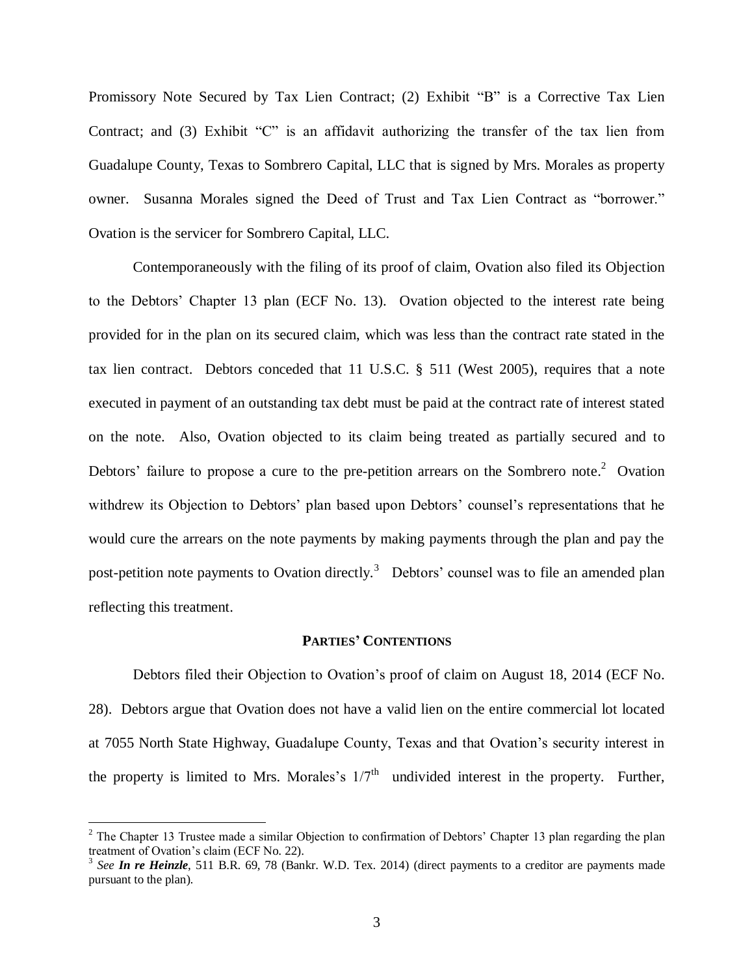Promissory Note Secured by Tax Lien Contract; (2) Exhibit "B" is a Corrective Tax Lien Contract; and (3) Exhibit "C" is an affidavit authorizing the transfer of the tax lien from Guadalupe County, Texas to Sombrero Capital, LLC that is signed by Mrs. Morales as property owner. Susanna Morales signed the Deed of Trust and Tax Lien Contract as "borrower." Ovation is the servicer for Sombrero Capital, LLC.

Contemporaneously with the filing of its proof of claim, Ovation also filed its Objection to the Debtors' Chapter 13 plan (ECF No. 13). Ovation objected to the interest rate being provided for in the plan on its secured claim, which was less than the contract rate stated in the tax lien contract. Debtors conceded that 11 U.S.C. § 511 (West 2005), requires that a note executed in payment of an outstanding tax debt must be paid at the contract rate of interest stated on the note. Also, Ovation objected to its claim being treated as partially secured and to Debtors' failure to propose a cure to the pre-petition arrears on the Sombrero note.<sup>2</sup> Ovation withdrew its Objection to Debtors' plan based upon Debtors' counsel's representations that he would cure the arrears on the note payments by making payments through the plan and pay the post-petition note payments to Ovation directly.<sup>3</sup> Debtors' counsel was to file an amended plan reflecting this treatment.

#### **PARTIES' CONTENTIONS**

Debtors filed their Objection to Ovation's proof of claim on August 18, 2014 (ECF No. 28). Debtors argue that Ovation does not have a valid lien on the entire commercial lot located at 7055 North State Highway, Guadalupe County, Texas and that Ovation's security interest in the property is limited to Mrs. Morales's  $1/7<sup>th</sup>$  undivided interest in the property. Further,

<sup>&</sup>lt;sup>2</sup> The Chapter 13 Trustee made a similar Objection to confirmation of Debtors' Chapter 13 plan regarding the plan treatment of Ovation's claim (ECF No. 22).

<sup>3</sup> *See In re Heinzle*, 511 B.R. 69, 78 (Bankr. W.D. Tex. 2014) (direct payments to a creditor are payments made pursuant to the plan).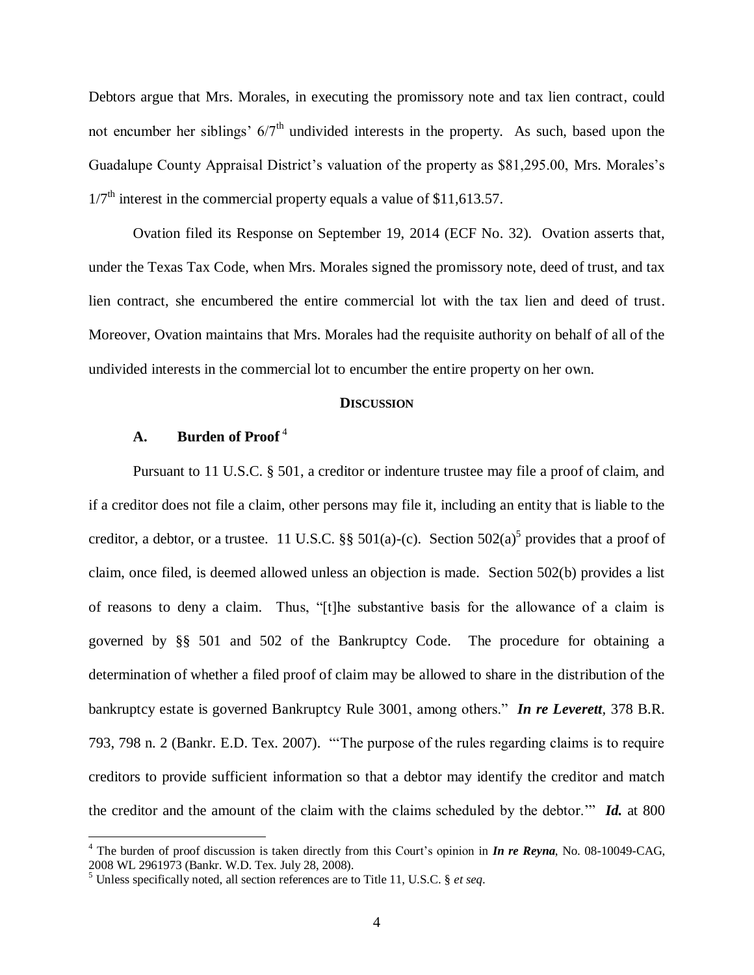Debtors argue that Mrs. Morales, in executing the promissory note and tax lien contract, could not encumber her siblings'  $6/7<sup>th</sup>$  undivided interests in the property. As such, based upon the Guadalupe County Appraisal District's valuation of the property as \$81,295.00, Mrs. Morales's  $1/7<sup>th</sup>$  interest in the commercial property equals a value of \$11,613.57.

Ovation filed its Response on September 19, 2014 (ECF No. 32). Ovation asserts that, under the Texas Tax Code, when Mrs. Morales signed the promissory note, deed of trust, and tax lien contract, she encumbered the entire commercial lot with the tax lien and deed of trust. Moreover, Ovation maintains that Mrs. Morales had the requisite authority on behalf of all of the undivided interests in the commercial lot to encumber the entire property on her own.

#### **DISCUSSION**

### **A. Burden of Proof** <sup>4</sup>

 $\overline{a}$ 

Pursuant to [11 U.S.C. § 501,](https://a.next.westlaw.com/Link/Document/FullText?findType=L&pubNum=1000546&cite=11USCAS501&originatingDoc=I4562a50762dd11ddb7e583ba170699a5&refType=LQ&originationContext=document&transitionType=DocumentItem&contextData=%28sc.Search%29) a creditor or indenture trustee may file a proof of claim, and if a creditor does not file a claim, other persons may file it, including an entity that is liable to the creditor, a debtor, or a trustee. 11 U.S.C.  $\S$  501(a)-[\(c\).](https://a.next.westlaw.com/Link/Document/FullText?findType=L&pubNum=1000546&cite=11USCAS501&originationContext=document&transitionType=DocumentItem&contextData=%28sc.Search%29#co_pp_4b24000003ba5) Section [502\(a\)](https://a.next.westlaw.com/Link/Document/FullText?findType=L&pubNum=1000546&cite=11USCAS502&originationContext=document&transitionType=DocumentItem&contextData=%28sc.Search%29#co_pp_8b3b0000958a4)<sup>5</sup> provides that a proof of claim, once filed, is deemed allowed unless an objection is made. [Section 502\(b\)](https://a.next.westlaw.com/Link/Document/FullText?findType=L&pubNum=1000546&cite=11USCAS502&originationContext=document&transitionType=DocumentItem&contextData=%28sc.Search%29#co_pp_a83b000018c76) provides a list of reasons to deny a claim. Thus, "[t]he substantive basis for the allowance of a claim is governed by [§§ 501](https://a.next.westlaw.com/Link/Document/FullText?findType=L&pubNum=1000546&cite=11USCAS501&originatingDoc=I4562a50762dd11ddb7e583ba170699a5&refType=LQ&originationContext=document&transitionType=DocumentItem&contextData=%28sc.Search%29) and [502 of the Bankruptcy Code.](https://a.next.westlaw.com/Link/Document/FullText?findType=L&pubNum=1000546&cite=11USCAS502&originatingDoc=I4562a50762dd11ddb7e583ba170699a5&refType=LQ&originationContext=document&transitionType=DocumentItem&contextData=%28sc.Search%29) The procedure for obtaining a determination of whether a filed proof of claim may be allowed to share in the distribution of the bankruptcy estate is governed Bankruptcy [Rule 3001,](https://a.next.westlaw.com/Link/Document/FullText?findType=L&pubNum=1004365&cite=USFRBPR3001&originatingDoc=I4562a50762dd11ddb7e583ba170699a5&refType=LQ&originationContext=document&transitionType=DocumentItem&contextData=%28sc.Search%29) among others." *[In re Leverett](https://a.next.westlaw.com/Link/Document/FullText?findType=Y&serNum=2014277788&pubNum=164&fi=co_pp_sp_164_798&originationContext=document&transitionType=DocumentItem&contextData=%28sc.Search%29#co_pp_sp_164_798),* 378 B.R. [793, 798 n. 2 \(Bankr.](https://a.next.westlaw.com/Link/Document/FullText?findType=Y&serNum=2014277788&pubNum=164&fi=co_pp_sp_164_798&originationContext=document&transitionType=DocumentItem&contextData=%28sc.Search%29#co_pp_sp_164_798) E.D. Tex. 2007). "'The purpose of the rules regarding claims is to require creditors to provide sufficient information so that a debtor may identify the creditor and match the creditor and the amount of the claim with the claims scheduled by the debtor.'" *Id.* [at 800](https://a.next.westlaw.com/Link/Document/FullText?findType=Y&serNum=2014277788&pubNum=164&fi=co_pp_sp_164_800&originationContext=document&transitionType=DocumentItem&contextData=%28sc.Search%29#co_pp_sp_164_800)

<sup>4</sup> The burden of proof discussion is taken directly from this Court's opinion in *In re Reyna*, No. 08-10049-CAG, 2008 WL 2961973 (Bankr. W.D. Tex. July 28, 2008).

<sup>5</sup> Unless specifically noted, all section references are to Title 11, U.S.C. § *et seq*.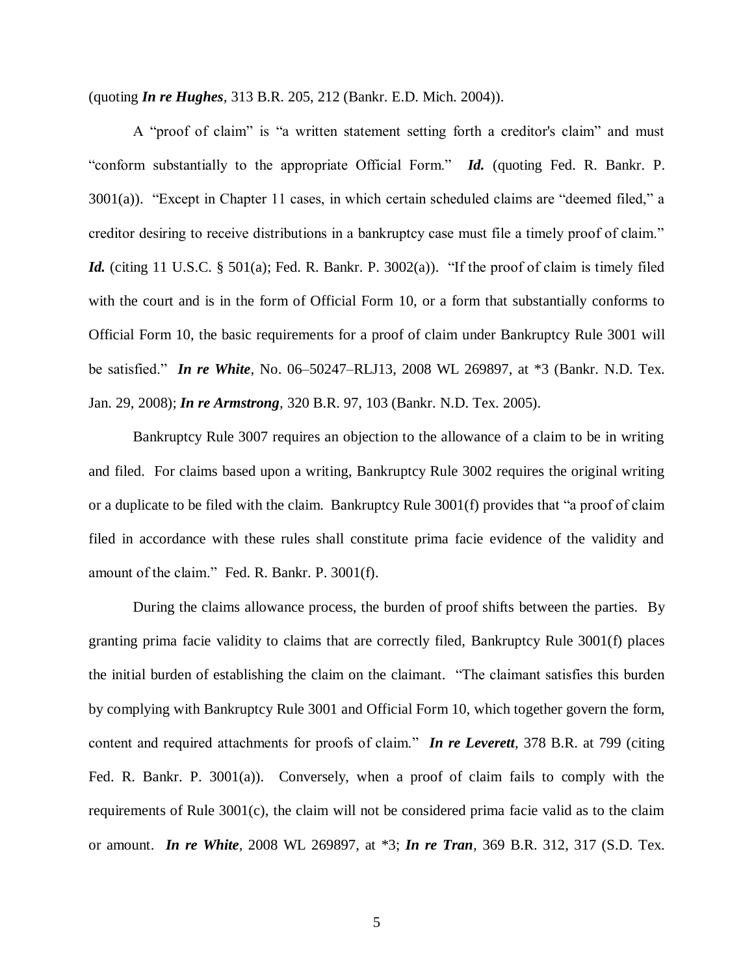(quoting *In re Hughes,* [313 B.R. 205, 212 \(Bankr.](https://a.next.westlaw.com/Link/Document/FullText?findType=Y&serNum=2004901501&pubNum=164&fi=co_pp_sp_164_212&originationContext=document&transitionType=DocumentItem&contextData=%28sc.Search%29#co_pp_sp_164_212) E.D. Mich. 2004)).

A "proof of claim" is "a written statement setting forth a creditor's claim" and must "conform substantially to the appropriate Official Form." *Id.* (quoting [Fed. R. Bankr.](https://a.next.westlaw.com/Link/Document/FullText?findType=L&pubNum=1004365&cite=USFRBPR3001&originatingDoc=I4562a50762dd11ddb7e583ba170699a5&refType=LQ&originationContext=document&transitionType=DocumentItem&contextData=%28sc.Search%29) P. [3001\(a\)\)](https://a.next.westlaw.com/Link/Document/FullText?findType=L&pubNum=1004365&cite=USFRBPR3001&originatingDoc=I4562a50762dd11ddb7e583ba170699a5&refType=LQ&originationContext=document&transitionType=DocumentItem&contextData=%28sc.Search%29). "Except in Chapter 11 cases, in which certain scheduled claims are "deemed filed," a creditor desiring to receive distributions in a bankruptcy case must file a timely proof of claim." *Id.* (citing [11 U.S.C. § 501\(a\);](https://a.next.westlaw.com/Link/Document/FullText?findType=L&pubNum=1000546&cite=11USCAS501&originationContext=document&transitionType=DocumentItem&contextData=%28sc.Search%29#co_pp_8b3b0000958a4) [Fed. R. Bankr.](https://a.next.westlaw.com/Link/Document/FullText?findType=L&pubNum=1004365&cite=USFRBPR3002&originatingDoc=I4562a50762dd11ddb7e583ba170699a5&refType=LQ&originationContext=document&transitionType=DocumentItem&contextData=%28sc.Search%29) P. 3002(a)). "If the proof of claim is timely filed with the court and is in the form of Official Form 10, or a form that substantially conforms to Official Form 10, the basic requirements for a proof of claim under Bankruptcy [Rule 3001](https://a.next.westlaw.com/Link/Document/FullText?findType=L&pubNum=1004365&cite=USFRBPR3001&originatingDoc=I4562a50762dd11ddb7e583ba170699a5&refType=LQ&originationContext=document&transitionType=DocumentItem&contextData=%28sc.Search%29) will be satisfied." *In re White,* [No. 06–50247–RLJ13, 2008 WL 269897, at \\*3 \(Bankr.](https://a.next.westlaw.com/Link/Document/FullText?findType=Y&serNum=2015084306&pubNum=0000999&originationContext=document&transitionType=DocumentItem&contextData=%28sc.Search%29) N.D. Tex. [Jan. 29, 2008\);](https://a.next.westlaw.com/Link/Document/FullText?findType=Y&serNum=2015084306&pubNum=0000999&originationContext=document&transitionType=DocumentItem&contextData=%28sc.Search%29) *In re Armstrong,* [320 B.R. 97, 103 \(Bankr.](https://a.next.westlaw.com/Link/Document/FullText?findType=Y&serNum=2006142250&pubNum=164&fi=co_pp_sp_164_103&originationContext=document&transitionType=DocumentItem&contextData=%28sc.Search%29#co_pp_sp_164_103) N.D. Tex. 2005).

Bankruptcy Rule 3007 requires an objection to the allowance of a claim to be in writing and filed. For claims based upon a writing, Bankruptcy [Rule 3002](https://a.next.westlaw.com/Link/Document/FullText?findType=L&pubNum=1004365&cite=USFRBPR3002&originatingDoc=I4562a50762dd11ddb7e583ba170699a5&refType=LQ&originationContext=document&transitionType=DocumentItem&contextData=%28sc.Search%29) requires the original writing or a duplicate to be filed with the claim. Bankruptcy Rule 3001(f) provides that "a proof of claim filed in accordance with these rules shall constitute prima facie evidence of the validity and amount of the claim." [Fed. R. Bankr.](https://a.next.westlaw.com/Link/Document/FullText?findType=L&pubNum=1004365&cite=USFRBPR3001&originatingDoc=I4562a50762dd11ddb7e583ba170699a5&refType=LQ&originationContext=document&transitionType=DocumentItem&contextData=%28sc.Search%29) P. 3001(f).

During the claims allowance process, the burden of proof shifts between the parties. By granting prima facie validity to claims that are correctly filed, Bankruptcy Rule 3001(f) places the initial burden of establishing the claim on the claimant. "The claimant satisfies this burden by complying with Bankruptcy [Rule 3001](https://a.next.westlaw.com/Link/Document/FullText?findType=L&pubNum=1004365&cite=USFRBPR3001&originatingDoc=I4562a50762dd11ddb7e583ba170699a5&refType=LQ&originationContext=document&transitionType=DocumentItem&contextData=%28sc.Search%29) and Official Form 10, which together govern the form, content and required attachments for proofs of claim." *In re Leverett,* [378 B.R. at 799](https://a.next.westlaw.com/Link/Document/FullText?findType=Y&serNum=2014277788&pubNum=164&fi=co_pp_sp_164_799&originationContext=document&transitionType=DocumentItem&contextData=%28sc.Search%29#co_pp_sp_164_799) (citing [Fed. R. Bankr.](https://a.next.westlaw.com/Link/Document/FullText?findType=L&pubNum=1004365&cite=USFRBPR3001&originatingDoc=I4562a50762dd11ddb7e583ba170699a5&refType=LQ&originationContext=document&transitionType=DocumentItem&contextData=%28sc.Search%29) P. 3001(a)). Conversely, when a proof of claim fails to comply with the requirements of [Rule 3001\(c\),](https://a.next.westlaw.com/Link/Document/FullText?findType=L&pubNum=1004365&cite=USFRBPR3001&originatingDoc=I4562a50762dd11ddb7e583ba170699a5&refType=LQ&originationContext=document&transitionType=DocumentItem&contextData=%28sc.Search%29) the claim will not be considered prima facie valid as to the claim or amount. *In re White,* [2008 WL 269897, at \\*3;](https://a.next.westlaw.com/Link/Document/FullText?findType=Y&serNum=2015084306&pubNum=999&originationContext=document&transitionType=DocumentItem&contextData=%28sc.Search%29) *In re Tran,* [369 B.R. 312, 317 \(S.D.](https://a.next.westlaw.com/Link/Document/FullText?findType=Y&serNum=2012299248&pubNum=164&fi=co_pp_sp_164_317&originationContext=document&transitionType=DocumentItem&contextData=%28sc.Search%29#co_pp_sp_164_317) Tex.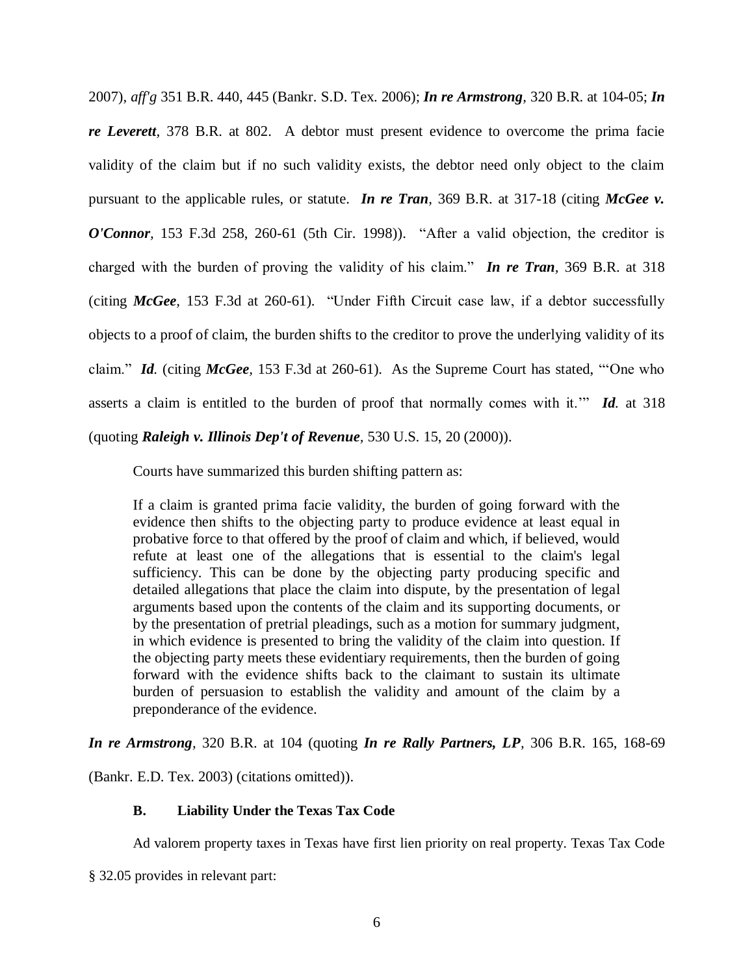[2007\),](https://a.next.westlaw.com/Link/Document/FullText?findType=Y&serNum=2012299248&pubNum=164&fi=co_pp_sp_164_317&originationContext=document&transitionType=DocumentItem&contextData=%28sc.Search%29#co_pp_sp_164_317) *aff'g* [351 B.R. 440, 445 \(Bankr.](https://a.next.westlaw.com/Link/Document/FullText?findType=Y&serNum=2010236955&pubNum=164&fi=co_pp_sp_164_445&originationContext=document&transitionType=DocumentItem&contextData=%28sc.Search%29#co_pp_sp_164_445) S.D. Tex. 2006); *In re Armstrong,* [320 B.R. at 104-05;](https://a.next.westlaw.com/Link/Document/FullText?findType=Y&serNum=2006142250&pubNum=164&fi=co_pp_sp_164_104&originationContext=document&transitionType=DocumentItem&contextData=%28sc.Search%29#co_pp_sp_164_104) *[In](https://a.next.westlaw.com/Link/Document/FullText?findType=Y&serNum=2014277788&pubNum=164&fi=co_pp_sp_164_802&originationContext=document&transitionType=DocumentItem&contextData=%28sc.Search%29#co_pp_sp_164_802)  re Leverett,* [378 B.R. at 802.](https://a.next.westlaw.com/Link/Document/FullText?findType=Y&serNum=2014277788&pubNum=164&fi=co_pp_sp_164_802&originationContext=document&transitionType=DocumentItem&contextData=%28sc.Search%29#co_pp_sp_164_802) A debtor must present evidence to overcome the prima facie validity of the claim but if no such validity exists, the debtor need only object to the claim pursuant to the applicable rules, or statute. *In re Tran,* [369 B.R. at 317-18](https://a.next.westlaw.com/Link/Document/FullText?findType=Y&serNum=2012299248&pubNum=164&fi=co_pp_sp_164_317&originationContext=document&transitionType=DocumentItem&contextData=%28sc.Search%29#co_pp_sp_164_317) (citing *[McGee v.](https://a.next.westlaw.com/Link/Document/FullText?findType=Y&serNum=1998182650&pubNum=506&fi=co_pp_sp_506_260&originationContext=document&transitionType=DocumentItem&contextData=%28sc.Search%29#co_pp_sp_506_260)  O'Connor,* [153 F.3d 258, 260-61 \(5th Cir.](https://a.next.westlaw.com/Link/Document/FullText?findType=Y&serNum=1998182650&pubNum=506&fi=co_pp_sp_506_260&originationContext=document&transitionType=DocumentItem&contextData=%28sc.Search%29#co_pp_sp_506_260) 1998)). "After a valid objection, the creditor is charged with the burden of proving the validity of his claim." *In re Tran,* [369 B.R. at 318](https://a.next.westlaw.com/Link/Document/FullText?findType=Y&serNum=2012299248&pubNum=164&fi=co_pp_sp_164_318&originationContext=document&transitionType=DocumentItem&contextData=%28sc.Search%29#co_pp_sp_164_318) (citing *McGee,* [153 F.3d at 260-61\).](https://a.next.westlaw.com/Link/Document/FullText?findType=Y&serNum=1998182650&pubNum=506&fi=co_pp_sp_506_260&originationContext=document&transitionType=DocumentItem&contextData=%28sc.Search%29#co_pp_sp_506_260) "Under Fifth Circuit case law, if a debtor successfully objects to a proof of claim, the burden shifts to the creditor to prove the underlying validity of its claim." *Id.* (citing *McGee,* [153 F.3d at 260-61\)](https://a.next.westlaw.com/Link/Document/FullText?findType=Y&serNum=1998182650&pubNum=506&fi=co_pp_sp_506_260&originationContext=document&transitionType=DocumentItem&contextData=%28sc.Search%29#co_pp_sp_506_260). As the Supreme Court has stated, "'One who asserts a claim is entitled to the burden of proof that normally comes with it.'" *Id.* [at 318](https://a.next.westlaw.com/Link/Document/FullText?findType=Y&serNum=2012299248&pubNum=164&fi=co_pp_sp_164_318&originationContext=document&transitionType=DocumentItem&contextData=%28sc.Search%29#co_pp_sp_164_318) (quoting *[Raleigh v. Illinois Dep't of](https://a.next.westlaw.com/Link/Document/FullText?findType=Y&serNum=2000362632&pubNum=780&fi=co_pp_sp_780_20&originationContext=document&transitionType=DocumentItem&contextData=%28sc.Search%29#co_pp_sp_780_20) Revenue,* 530 U.S. 15, 20 (2000)).

Courts have summarized this burden shifting pattern as:

If a claim is granted prima facie validity, the burden of going forward with the evidence then shifts to the objecting party to produce evidence at least equal in probative force to that offered by the proof of claim and which, if believed, would refute at least one of the allegations that is essential to the claim's legal sufficiency. This can be done by the objecting party producing specific and detailed allegations that place the claim into dispute, by the presentation of legal arguments based upon the contents of the claim and its supporting documents, or by the presentation of pretrial pleadings, such as a motion for summary judgment, in which evidence is presented to bring the validity of the claim into question. If the objecting party meets these evidentiary requirements, then the burden of going forward with the evidence shifts back to the claimant to sustain its ultimate burden of persuasion to establish the validity and amount of the claim by a preponderance of the evidence.

*[In re Armstrong](https://a.next.westlaw.com/Link/Document/FullText?findType=Y&serNum=2006142250&pubNum=164&fi=co_pp_sp_164_104&originationContext=document&transitionType=DocumentItem&contextData=%28sc.Search%29#co_pp_sp_164_104),* 320 B.R. at 104 (quoting *[In re Rally Partners, LP](https://a.next.westlaw.com/Link/Document/FullText?findType=Y&serNum=2004179891&pubNum=164&fi=co_pp_sp_164_168&originationContext=document&transitionType=DocumentItem&contextData=%28sc.Search%29#co_pp_sp_164_168),* 306 B.R. 165, 168-69

[\(Bankr.](https://a.next.westlaw.com/Link/Document/FullText?findType=Y&serNum=2004179891&pubNum=164&fi=co_pp_sp_164_168&originationContext=document&transitionType=DocumentItem&contextData=%28sc.Search%29#co_pp_sp_164_168) E.D. Tex. 2003) (citations omitted)).

### **B. Liability Under the Texas Tax Code**

Ad valorem property taxes in Texas have first lien priority on real property. Texas Tax Code

§ 32.05 provides in relevant part: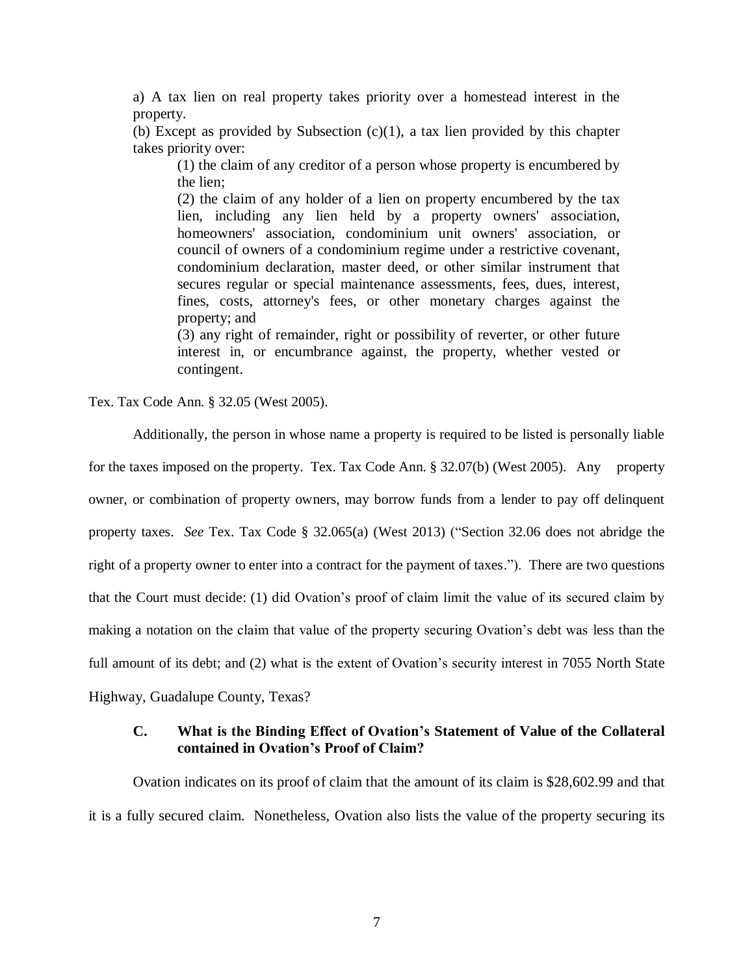a) A tax lien on real property takes priority over a homestead interest in the property.

(b) Except as provided by Subsection  $(c)(1)$ , a tax lien provided by this chapter takes priority over:

(1) the claim of any creditor of a person whose property is encumbered by the lien;

(2) the claim of any holder of a lien on property encumbered by the tax lien, including any lien held by a property owners' association, homeowners' association, condominium unit owners' association, or council of owners of a condominium regime under a restrictive covenant, condominium declaration, master deed, or other similar instrument that secures regular or special maintenance assessments, fees, dues, interest, fines, costs, attorney's fees, or other monetary charges against the property; and

(3) any right of remainder, right or possibility of reverter, or other future interest in, or encumbrance against, the property, whether vested or contingent.

Tex. Tax Code Ann. § 32.05 (West 2005).

Additionally, the person in whose name a property is required to be listed is personally liable for the taxes imposed on the property. Tex. Tax Code Ann. § 32.07(b) (West 2005). Any property owner, or combination of property owners, may borrow funds from a lender to pay off delinquent property taxes. *See* Tex. Tax Code § 32.065(a) (West 2013) ("Section 32.06 does not abridge the right of a property owner to enter into a contract for the payment of taxes."). There are two questions that the Court must decide: (1) did Ovation's proof of claim limit the value of its secured claim by making a notation on the claim that value of the property securing Ovation's debt was less than the full amount of its debt; and (2) what is the extent of Ovation's security interest in 7055 North State Highway, Guadalupe County, Texas?

## **C. What is the Binding Effect of Ovation's Statement of Value of the Collateral contained in Ovation's Proof of Claim?**

Ovation indicates on its proof of claim that the amount of its claim is \$28,602.99 and that it is a fully secured claim. Nonetheless, Ovation also lists the value of the property securing its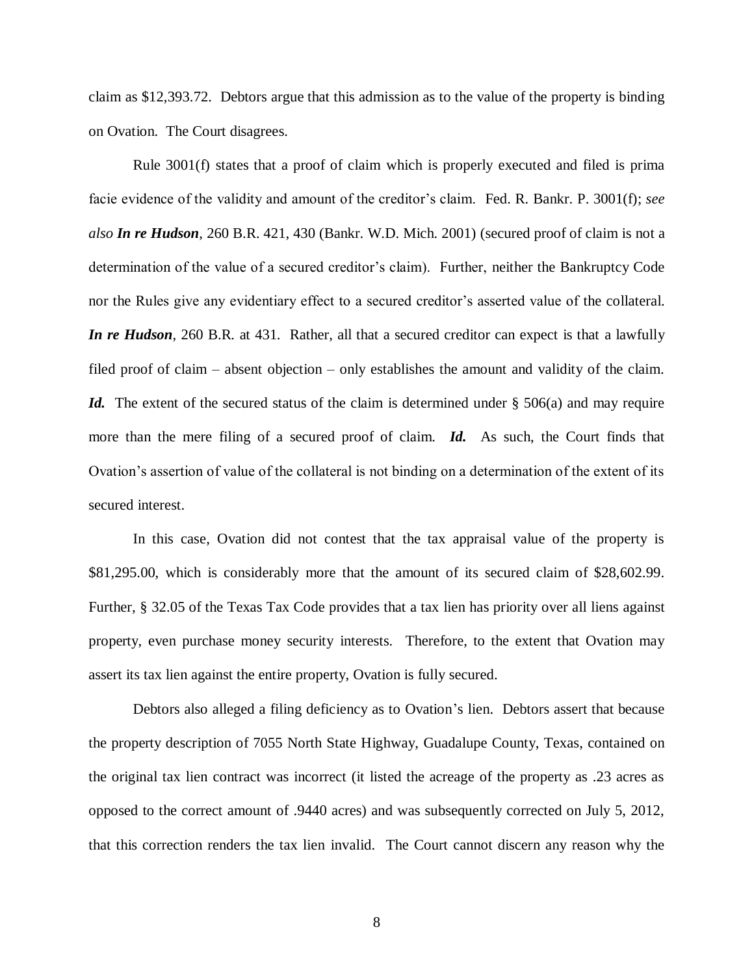claim as \$12,393.72. Debtors argue that this admission as to the value of the property is binding on Ovation. The Court disagrees.

Rule 3001(f) states that a proof of claim which is properly executed and filed is prima facie evidence of the validity and amount of the creditor's claim. Fed. R. Bankr. P. 3001(f); *see also In re Hudson*, 260 B.R. 421, 430 (Bankr. W.D. Mich. 2001) (secured proof of claim is not a determination of the value of a secured creditor's claim). Further, neither the Bankruptcy Code nor the Rules give any evidentiary effect to a secured creditor's asserted value of the collateral. *In re Hudson*, 260 B.R. at 431. Rather, all that a secured creditor can expect is that a lawfully filed proof of claim – absent objection – only establishes the amount and validity of the claim. *Id.* The extent of the secured status of the claim is determined under § 506(a) and may require more than the mere filing of a secured proof of claim. *Id.* As such, the Court finds that Ovation's assertion of value of the collateral is not binding on a determination of the extent of its secured interest.

In this case, Ovation did not contest that the tax appraisal value of the property is \$81,295.00, which is considerably more that the amount of its secured claim of \$28,602.99. Further, § 32.05 of the Texas Tax Code provides that a tax lien has priority over all liens against property, even purchase money security interests. Therefore, to the extent that Ovation may assert its tax lien against the entire property, Ovation is fully secured.

Debtors also alleged a filing deficiency as to Ovation's lien. Debtors assert that because the property description of 7055 North State Highway, Guadalupe County, Texas, contained on the original tax lien contract was incorrect (it listed the acreage of the property as .23 acres as opposed to the correct amount of .9440 acres) and was subsequently corrected on July 5, 2012, that this correction renders the tax lien invalid. The Court cannot discern any reason why the

8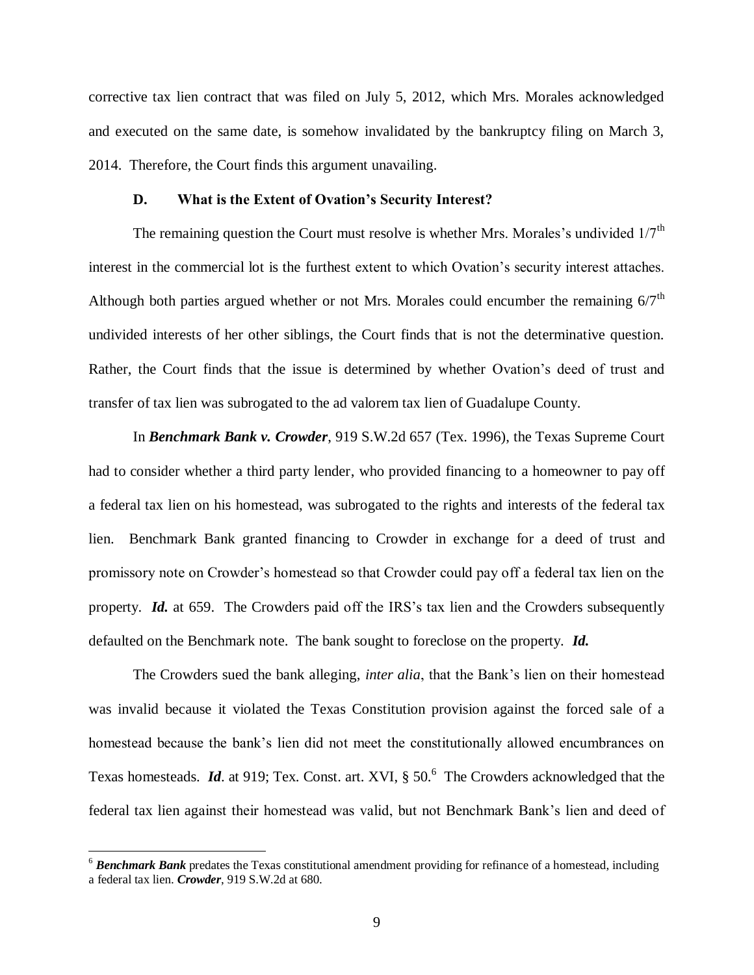corrective tax lien contract that was filed on July 5, 2012, which Mrs. Morales acknowledged and executed on the same date, is somehow invalidated by the bankruptcy filing on March 3, 2014. Therefore, the Court finds this argument unavailing.

#### **D. What is the Extent of Ovation's Security Interest?**

The remaining question the Court must resolve is whether Mrs. Morales's undivided  $1/7<sup>th</sup>$ interest in the commercial lot is the furthest extent to which Ovation's security interest attaches. Although both parties argued whether or not Mrs. Morales could encumber the remaining  $6/7<sup>th</sup>$ undivided interests of her other siblings, the Court finds that is not the determinative question. Rather, the Court finds that the issue is determined by whether Ovation's deed of trust and transfer of tax lien was subrogated to the ad valorem tax lien of Guadalupe County.

In *Benchmark Bank v. Crowder*, 919 S.W.2d 657 (Tex. 1996), the Texas Supreme Court had to consider whether a third party lender, who provided financing to a homeowner to pay off a federal tax lien on his homestead, was subrogated to the rights and interests of the federal tax lien. Benchmark Bank granted financing to Crowder in exchange for a deed of trust and promissory note on Crowder's homestead so that Crowder could pay off a federal tax lien on the property. *Id.* at 659. The Crowders paid off the IRS's tax lien and the Crowders subsequently defaulted on the Benchmark note. The bank sought to foreclose on the property. *Id.*

The Crowders sued the bank alleging, *inter alia*, that the Bank's lien on their homestead was invalid because it violated the Texas Constitution provision against the forced sale of a homestead because the bank's lien did not meet the constitutionally allowed encumbrances on Texas homesteads. *Id.* at 919; Tex. Const. art. XVI, § 50.<sup>6</sup> The Crowders acknowledged that the federal tax lien against their homestead was valid, but not Benchmark Bank's lien and deed of

<sup>6</sup> *Benchmark Bank* predates the Texas constitutional amendment providing for refinance of a homestead, including a federal tax lien. *Crowder*, 919 S.W.2d at 680.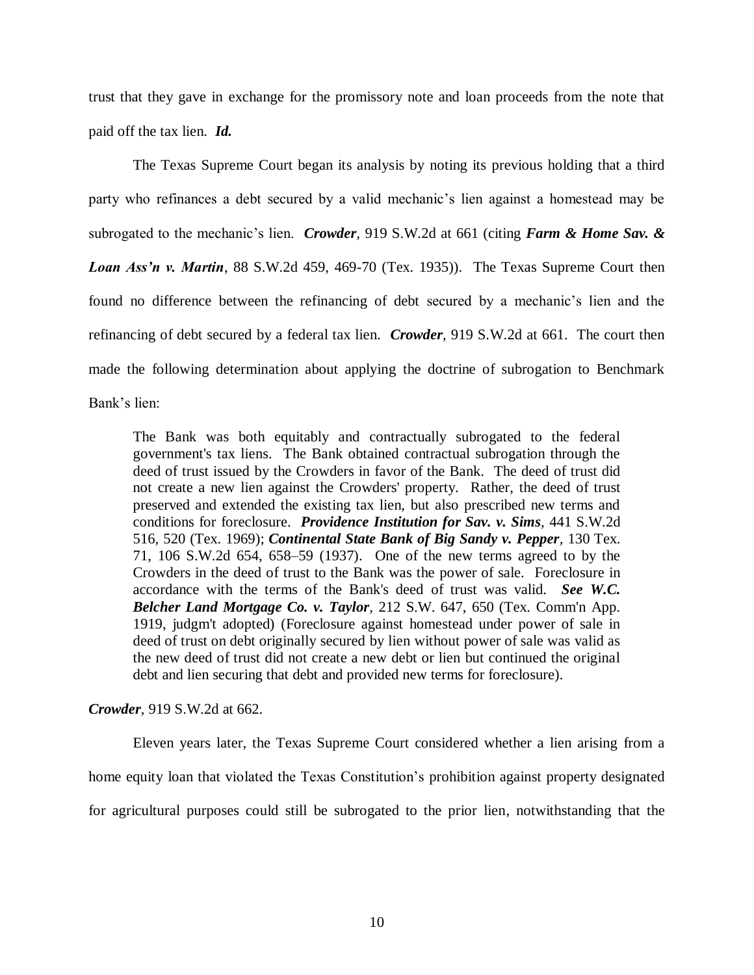trust that they gave in exchange for the promissory note and loan proceeds from the note that paid off the tax lien. *Id.* 

The Texas Supreme Court began its analysis by noting its previous holding that a third party who refinances a debt secured by a valid mechanic's lien against a homestead may be subrogated to the mechanic's lien. *Crowder*, 919 S.W.2d at 661 (citing *Farm & Home Sav. & Loan Ass'n v. Martin*, 88 S.W.2d 459, 469-70 (Tex. 1935)). The Texas Supreme Court then found no difference between the refinancing of debt secured by a mechanic's lien and the refinancing of debt secured by a federal tax lien. *Crowder*, 919 S.W.2d at 661. The court then made the following determination about applying the doctrine of subrogation to Benchmark Bank's lien:

The Bank was both equitably and contractually subrogated to the federal government's tax liens. The Bank obtained contractual subrogation through the deed of trust issued by the Crowders in favor of the Bank. The deed of trust did not create a new lien against the Crowders' property. Rather, the deed of trust preserved and extended the existing tax lien, but also prescribed new terms and conditions for foreclosure. *[Providence Institution for Sav. v. Sims](https://a.next.westlaw.com/Link/Document/FullText?findType=Y&serNum=1969136161&pubNum=713&fi=co_pp_sp_713_520&originationContext=document&transitionType=DocumentItem&contextData=%28sc.UserEnteredCitation%29#co_pp_sp_713_520),* 441 S.W.2d [516, 520 \(Tex.](https://a.next.westlaw.com/Link/Document/FullText?findType=Y&serNum=1969136161&pubNum=713&fi=co_pp_sp_713_520&originationContext=document&transitionType=DocumentItem&contextData=%28sc.UserEnteredCitation%29#co_pp_sp_713_520) 1969); *[Continental State Bank of Big Sandy v. Pepper](https://a.next.westlaw.com/Link/Document/FullText?findType=Y&serNum=1937103295&pubNum=713&fi=co_pp_sp_713_658&originationContext=document&transitionType=DocumentItem&contextData=%28sc.UserEnteredCitation%29#co_pp_sp_713_658),* 130 Tex. [71, 106 S.W.2d 654, 658–59 \(1937\).](https://a.next.westlaw.com/Link/Document/FullText?findType=Y&serNum=1937103295&pubNum=713&fi=co_pp_sp_713_658&originationContext=document&transitionType=DocumentItem&contextData=%28sc.UserEnteredCitation%29#co_pp_sp_713_658) One of the new terms agreed to by the Crowders in the deed of trust to the Bank was the power of sale. Foreclosure in accordance with the terms of the Bank's deed of trust was valid. *See [W.C.](https://a.next.westlaw.com/Link/Document/FullText?findType=Y&serNum=1919010874&pubNum=712&fi=co_pp_sp_712_650&originationContext=document&transitionType=DocumentItem&contextData=%28sc.UserEnteredCitation%29#co_pp_sp_712_650)  [Belcher Land Mortgage Co. v. Taylor](https://a.next.westlaw.com/Link/Document/FullText?findType=Y&serNum=1919010874&pubNum=712&fi=co_pp_sp_712_650&originationContext=document&transitionType=DocumentItem&contextData=%28sc.UserEnteredCitation%29#co_pp_sp_712_650),* 212 S.W. 647, 650 (Tex. Comm'n App. [1919, judgm't adopted\)](https://a.next.westlaw.com/Link/Document/FullText?findType=Y&serNum=1919010874&pubNum=712&fi=co_pp_sp_712_650&originationContext=document&transitionType=DocumentItem&contextData=%28sc.UserEnteredCitation%29#co_pp_sp_712_650) (Foreclosure against homestead under power of sale in deed of trust on debt originally secured by lien without power of sale was valid as the new deed of trust did not create a new debt or lien but continued the original debt and lien securing that debt and provided new terms for foreclosure).

*Crowder*, 919 S.W.2d at 662.

Eleven years later, the Texas Supreme Court considered whether a lien arising from a home equity loan that violated the Texas Constitution's prohibition against property designated for agricultural purposes could still be subrogated to the prior lien, notwithstanding that the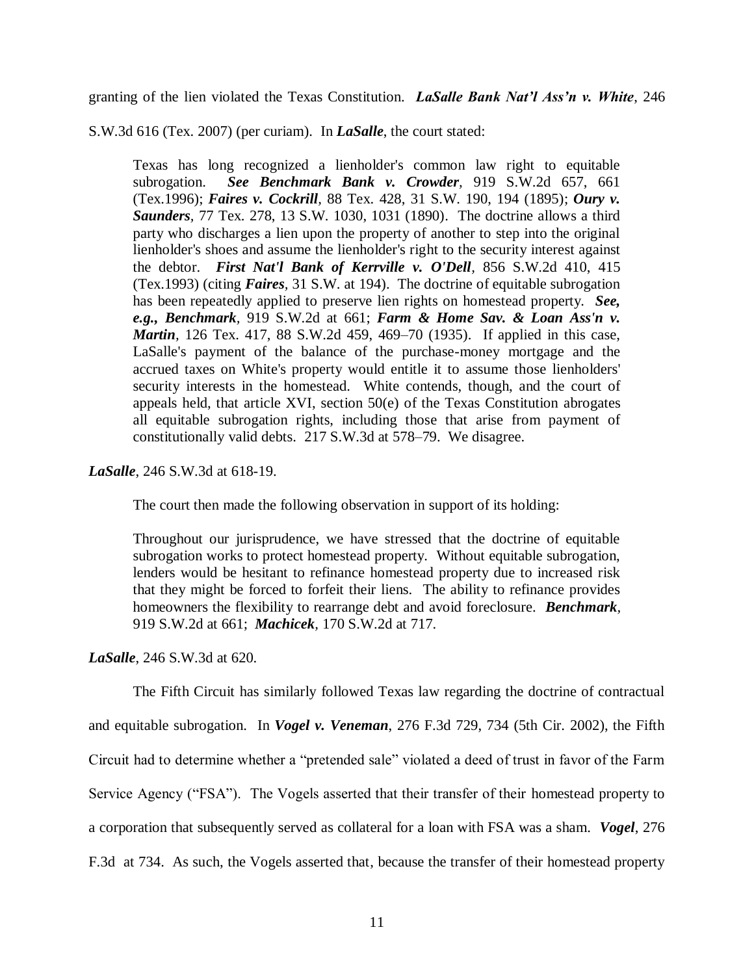granting of the lien violated the Texas Constitution. *LaSalle Bank Nat'l Ass'n v. White*, 246

S.W.3d 616 (Tex. 2007) (per curiam). In *LaSalle*, the court stated:

Texas has long recognized a lienholder's common law right to equitable subrogation. *See [Benchmark Bank v. Crowder](https://a.next.westlaw.com/Link/Document/FullText?findType=Y&serNum=1996066381&pubNum=713&fi=co_pp_sp_713_661&originationContext=document&transitionType=DocumentItem&contextData=%28sc.UserEnteredCitation%29#co_pp_sp_713_661),* 919 S.W.2d 657, 661 [\(Tex.1996\);](https://a.next.westlaw.com/Link/Document/FullText?findType=Y&serNum=1996066381&pubNum=713&fi=co_pp_sp_713_661&originationContext=document&transitionType=DocumentItem&contextData=%28sc.UserEnteredCitation%29#co_pp_sp_713_661) *Faires v. Cockrill,* [88 Tex. 428, 31 S.W. 190, 194 \(1895\);](https://a.next.westlaw.com/Link/Document/FullText?findType=Y&serNum=1895000061&pubNum=712&fi=co_pp_sp_712_194&originationContext=document&transitionType=DocumentItem&contextData=%28sc.UserEnteredCitation%29#co_pp_sp_712_194) *[Oury v.](https://a.next.westlaw.com/Link/Document/FullText?findType=Y&serNum=1890000526&pubNum=712&fi=co_pp_sp_712_1031&originationContext=document&transitionType=DocumentItem&contextData=%28sc.UserEnteredCitation%29#co_pp_sp_712_1031)  Saunders,* [77 Tex. 278, 13 S.W. 1030, 1031 \(1890\).](https://a.next.westlaw.com/Link/Document/FullText?findType=Y&serNum=1890000526&pubNum=712&fi=co_pp_sp_712_1031&originationContext=document&transitionType=DocumentItem&contextData=%28sc.UserEnteredCitation%29#co_pp_sp_712_1031) The doctrine allows a third party who discharges a lien upon the property of another to step into the original lienholder's shoes and assume the lienholder's right to the security interest against the debtor. *[First Nat'l Bank of Kerrville v. O'Dell](https://a.next.westlaw.com/Link/Document/FullText?findType=Y&serNum=1993129177&pubNum=713&fi=co_pp_sp_713_415&originationContext=document&transitionType=DocumentItem&contextData=%28sc.UserEnteredCitation%29#co_pp_sp_713_415),* 856 S.W.2d 410, 415 [\(Tex.1993\)](https://a.next.westlaw.com/Link/Document/FullText?findType=Y&serNum=1993129177&pubNum=713&fi=co_pp_sp_713_415&originationContext=document&transitionType=DocumentItem&contextData=%28sc.UserEnteredCitation%29#co_pp_sp_713_415) (citing *Faires,* [31 S.W. at 194\).](https://a.next.westlaw.com/Link/Document/FullText?findType=Y&serNum=1895000061&pubNum=712&fi=co_pp_sp_712_194&originationContext=document&transitionType=DocumentItem&contextData=%28sc.UserEnteredCitation%29#co_pp_sp_712_194) The doctrine of equitable subrogation has been repeatedly applied to preserve lien rights on homestead property. *See, e.g., Benchmark,* [919 S.W.2d at 661;](https://a.next.westlaw.com/Link/Document/FullText?findType=Y&serNum=1996066381&pubNum=713&fi=co_pp_sp_713_661&originationContext=document&transitionType=DocumentItem&contextData=%28sc.UserEnteredCitation%29#co_pp_sp_713_661) *[Farm & Home Sav. & Loan Ass'n v.](https://a.next.westlaw.com/Link/Document/FullText?findType=Y&serNum=1936103021&pubNum=713&fi=co_pp_sp_713_469&originationContext=document&transitionType=DocumentItem&contextData=%28sc.UserEnteredCitation%29#co_pp_sp_713_469)  Martin,* [126 Tex. 417, 88 S.W.2d 459, 469–70 \(1935\).](https://a.next.westlaw.com/Link/Document/FullText?findType=Y&serNum=1936103021&pubNum=713&fi=co_pp_sp_713_469&originationContext=document&transitionType=DocumentItem&contextData=%28sc.UserEnteredCitation%29#co_pp_sp_713_469) If applied in this case, LaSalle's payment of the balance of the purchase-money mortgage and the accrued taxes on White's property would entitle it to assume those lienholders' security interests in the homestead. White contends, though, and the court of appeals held, that [article XVI, section 50\(e\) of the Texas Constitution](https://a.next.westlaw.com/Link/Document/FullText?findType=L&pubNum=1000301&cite=TXCNART16S50&originatingDoc=Ib644cfcaaffa11dc8dba9deb08599717&refType=LQ&originationContext=document&transitionType=DocumentItem&contextData=%28sc.UserEnteredCitation%29) abrogates all equitable subrogation rights, including those that arise from payment of constitutionally valid debts. [217 S.W.3d at 578–79.](https://a.next.westlaw.com/Link/Document/FullText?findType=Y&serNum=2010436606&pubNum=4644&fi=co_pp_sp_4644_578&originationContext=document&transitionType=DocumentItem&contextData=%28sc.UserEnteredCitation%29#co_pp_sp_4644_578) We disagree.

*LaSalle*, 246 S.W.3d at 618-19.

The court then made the following observation in support of its holding:

Throughout our jurisprudence, we have stressed that the doctrine of equitable subrogation works to protect homestead property. Without equitable subrogation, lenders would be hesitant to refinance homestead property due to increased risk that they might be forced to forfeit their liens. The ability to refinance provides homeowners the flexibility to rearrange debt and avoid foreclosure. *[Benchmark](https://a.next.westlaw.com/Link/Document/FullText?findType=Y&serNum=1996066381&pubNum=713&fi=co_pp_sp_713_661&originationContext=document&transitionType=DocumentItem&contextData=%28sc.UserEnteredCitation%29#co_pp_sp_713_661),* [919 S.W.2d at 661;](https://a.next.westlaw.com/Link/Document/FullText?findType=Y&serNum=1996066381&pubNum=713&fi=co_pp_sp_713_661&originationContext=document&transitionType=DocumentItem&contextData=%28sc.UserEnteredCitation%29#co_pp_sp_713_661) *Machicek,* [170 S.W.2d at 717.](https://a.next.westlaw.com/Link/Document/FullText?findType=Y&serNum=1943102502&pubNum=713&fi=co_pp_sp_713_717&originationContext=document&transitionType=DocumentItem&contextData=%28sc.UserEnteredCitation%29#co_pp_sp_713_717)

*LaSalle*, 246 S.W.3d at 620.

The Fifth Circuit has similarly followed Texas law regarding the doctrine of contractual and equitable subrogation. In *Vogel v. Veneman*, 276 F.3d 729, 734 (5th Cir. 2002), the Fifth Circuit had to determine whether a "pretended sale" violated a deed of trust in favor of the Farm Service Agency ("FSA"). The Vogels asserted that their transfer of their homestead property to a corporation that subsequently served as collateral for a loan with FSA was a sham. *Vogel*, 276 F.3d at 734. As such, the Vogels asserted that, because the transfer of their homestead property